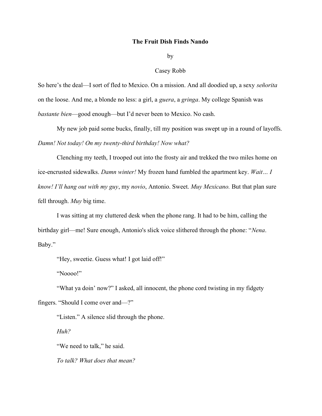by

#### Casey Robb

So here's the deal—I sort of fled to Mexico. On a mission. And all doodied up, a sexy señorita on the loose. And me, a blonde no less: a girl, a guera, a gringa. My college Spanish was bastante bien—good enough—but I'd never been to Mexico. No cash.

My new job paid some bucks, finally, till my position was swept up in a round of layoffs. Damn! Not today! On my twenty-third birthday! Now what?

Clenching my teeth, I trooped out into the frosty air and trekked the two miles home on ice-encrusted sidewalks. Damn winter! My frozen hand fumbled the apartment key. Wait... I know! I'll hang out with my guy, my novio, Antonio. Sweet. Muy Mexicano. But that plan sure fell through. Muy big time.

I was sitting at my cluttered desk when the phone rang. It had to be him, calling the birthday girl—me! Sure enough, Antonio's slick voice slithered through the phone: "Nena. Baby."

"Hey, sweetie. Guess what! I got laid off!"

"Noooo!"

"What ya doin' now?" I asked, all innocent, the phone cord twisting in my fidgety fingers. "Should I come over and—?"

"Listen." A silence slid through the phone.

Huh?

"We need to talk," he said.

To talk? What does that mean?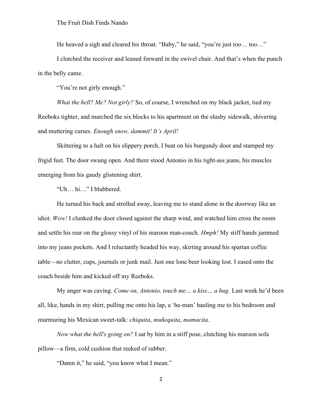He heaved a sigh and cleared his throat. "Baby," he said, "you're just too… too…"

I clutched the receiver and leaned forward in the swivel chair. And that's when the punch in the belly came.

"You're not girly enough."

What the hell? Me? Not girly? So, of course, I wrenched on my black jacket, tied my Reeboks tighter, and marched the six blocks to his apartment on the slushy sidewalk, shivering and muttering curses. Enough snow, dammit! It's April!

Skittering to a halt on his slippery porch, I beat on his burgundy door and stamped my frigid feet. The door swung open. And there stood Antonio in his tight-ass jeans, his muscles emerging from his gaudy glistening shirt.

"Uh… hi…" I blubbered.

He turned his back and strolled away, leaving me to stand alone in the doorway like an idiot. Wow! I clunked the door closed against the sharp wind, and watched him cross the room and settle his rear on the glossy vinyl of his maroon man-couch. *Hmph!* My stiff hands jammed into my jeans pockets. And I reluctantly headed his way, skirting around his spartan coffee table—no clutter, cups, journals or junk mail. Just one lone beer looking lost. I eased onto the couch beside him and kicked off my Reeboks.

My anger was caving. Come on, Antonio, touch me... a kiss... a hug. Last week he'd been all, like, hands in my shirt, pulling me onto his lap, a 'he-man' hauling me to his bedroom and murmuring his Mexican sweet-talk: chiquita, muñequita, mamacita.

Now what the hell's going on? I sat by him in a stiff pose, clutching his maroon sofa pillow—a firm, cold cushion that reeked of rubber.

"Damn it," he said, "you know what I mean."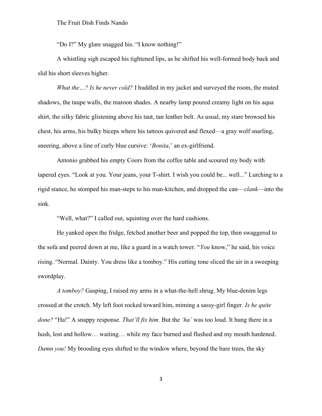"Do I?" My glare snagged his. "I know nothing!"

A whistling sigh escaped his tightened lips, as he shifted his well-formed body back and slid his short sleeves higher.

What the ...? Is he never cold? I huddled in my jacket and surveyed the room, the muted shadows, the taupe walls, the maroon shades. A nearby lamp poured creamy light on his aqua shirt, the silky fabric glistening above his taut, tan leather belt. As usual, my stare browsed his chest, his arms, his bulky biceps where his tattoos quivered and flexed—a gray wolf snarling, sneering, above a line of curly blue cursive: '*Bonita*,' an ex-girlfriend.

Antonio grabbed his empty Coors from the coffee table and scoured my body with tapered eyes. "Look at you. Your jeans, your T-shirt. I wish you could be... well..." Lurching to a rigid stance, he stomped his man-steps to his man-kitchen, and dropped the can—clank—into the sink.

"Well, what?" I called out, squinting over the hard cushions.

He yanked open the fridge, fetched another beer and popped the top, then swaggered to the sofa and peered down at me, like a guard in a watch tower. "You know," he said, his voice rising. "Normal. Dainty. You dress like a tomboy." His cutting tone sliced the air in a sweeping swordplay.

A tomboy? Gasping, I raised my arms in a what-the-hell shrug. My blue-denim legs crossed at the crotch. My left foot rocked toward him, miming a sassy-girl finger. Is he quite done? "Ha!" A snappy response. That'll fix him. But the 'ha' was too loud. It hung there in a hush, lost and hollow... waiting... while my face burned and flushed and my mouth hardened. Damn you! My brooding eyes shifted to the window where, beyond the bare trees, the sky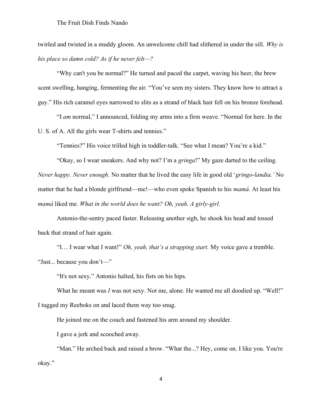twirled and twisted in a muddy gloom. An unwelcome chill had slithered in under the sill. Why is his place so damn cold? As if he never felt-?

"Why can't you be normal?" He turned and paced the carpet, waving his beer, the brew scent swelling, hanging, fermenting the air. "You've seen my sisters. They know how to attract a guy." His rich caramel eyes narrowed to slits as a strand of black hair fell on his bronze forehead.

"I am normal," I announced, folding my arms into a firm weave. "Normal for here. In the U. S. of A. All the girls wear T-shirts and tennies."

"Tennies?" His voice trilled high in toddler-talk. "See what I mean? You're a kid."

"Okay, so I wear sneakers. And why not? I'm a gringa!" My gaze darted to the ceiling. Never happy. Never enough. No matter that he lived the easy life in good old 'gringo-landia.' No matter that he had a blonde girlfriend—me!—who even spoke Spanish to his *mamá*. At least his mamá liked me. What in the world does he want? Oh, yeah. A girly-girl.

Antonio-the-sentry paced faster. Releasing another sigh, he shook his head and tossed back that strand of hair again.

"I... I wear what I want!" Oh, yeah, that's a strapping start. My voice gave a tremble. "Just... because you don't—"

"It's not sexy." Antonio halted, his fists on his hips.

What he meant was I was not sexy. Not me, alone. He wanted me all doodied up. "Well!" I tugged my Reeboks on and laced them way too snug.

He joined me on the couch and fastened his arm around my shoulder.

I gave a jerk and scooched away.

"Man." He arched back and raised a brow. "What the...? Hey, come on. I like you. You're okay."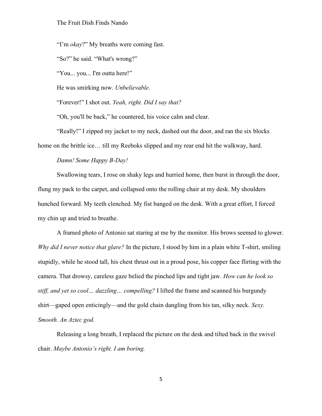"I'm *okay*?" My breaths were coming fast. "So?" he said. "What's wrong?" "You... you... I'm outta here!" He was smirking now. Unbelievable. "Forever!" I shot out. Yeah, right. Did I say that? "Oh, you'll be back," he countered, his voice calm and clear.

"Really!" I zipped my jacket to my neck, dashed out the door, and ran the six blocks home on the brittle ice… till my Reeboks slipped and my rear end hit the walkway, hard.

Damn! Some Happy B-Day!

Swallowing tears, I rose on shaky legs and hurried home, then burst in through the door, flung my pack to the carpet, and collapsed onto the rolling chair at my desk. My shoulders hunched forward. My teeth clenched. My fist banged on the desk. With a great effort, I forced my chin up and tried to breathe.

A framed photo of Antonio sat staring at me by the monitor. His brows seemed to glower. Why did I never notice that glare? In the picture, I stood by him in a plain white T-shirt, smiling stupidly, while he stood tall, his chest thrust out in a proud pose, his copper face flirting with the camera. That drowsy, careless gaze belied the pinched lips and tight jaw. How can he look so stiff, and yet so cool… dazzling… compelling? I lifted the frame and scanned his burgundy shirt—gaped open enticingly—and the gold chain dangling from his tan, silky neck. Sexy. Smooth. An Aztec god.

Releasing a long breath, I replaced the picture on the desk and tilted back in the swivel chair. Maybe Antonio's right. I am boring.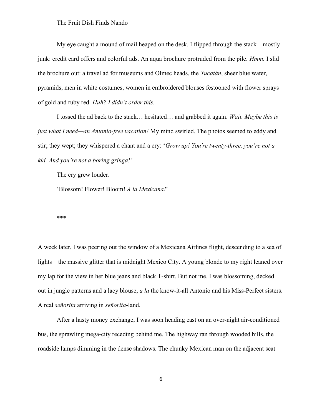My eye caught a mound of mail heaped on the desk. I flipped through the stack—mostly junk: credit card offers and colorful ads. An aqua brochure protruded from the pile. *Hmm*. I slid the brochure out: a travel ad for museums and Olmec heads, the Yucatán, sheer blue water, pyramids, men in white costumes, women in embroidered blouses festooned with flower sprays of gold and ruby red. Huh? I didn't order this.

I tossed the ad back to the stack... hesitated... and grabbed it again. Wait. Maybe this is just what I need—an Antonio-free vacation! My mind swirled. The photos seemed to eddy and stir; they wept; they whispered a chant and a cry: 'Grow up! You're twenty-three, you're not a kid. And you're not a boring gringa!'

The cry grew louder.

'Blossom! Flower! Bloom! A la Mexicana!'

\*\*\*

A week later, I was peering out the window of a Mexicana Airlines flight, descending to a sea of lights—the massive glitter that is midnight Mexico City. A young blonde to my right leaned over my lap for the view in her blue jeans and black T-shirt. But not me. I was blossoming, decked out in jungle patterns and a lacy blouse, a la the know-it-all Antonio and his Miss-Perfect sisters. A real señorita arriving in señorita-land.

After a hasty money exchange, I was soon heading east on an over-night air-conditioned bus, the sprawling mega-city receding behind me. The highway ran through wooded hills, the roadside lamps dimming in the dense shadows. The chunky Mexican man on the adjacent seat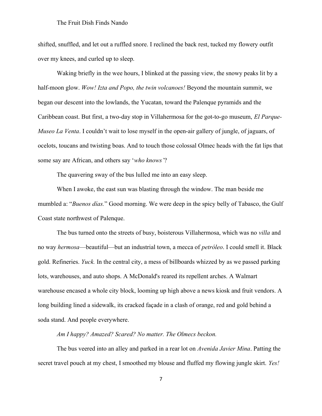shifted, snuffled, and let out a ruffled snore. I reclined the back rest, tucked my flowery outfit over my knees, and curled up to sleep.

Waking briefly in the wee hours, I blinked at the passing view, the snowy peaks lit by a half-moon glow. Wow! Izta and Popo, the twin volcanoes! Beyond the mountain summit, we began our descent into the lowlands, the Yucatan, toward the Palenque pyramids and the Caribbean coast. But first, a two-day stop in Villahermosa for the got-to-go museum, El Parque-Museo La Venta. I couldn't wait to lose myself in the open-air gallery of jungle, of jaguars, of ocelots, toucans and twisting boas. And to touch those colossal Olmec heads with the fat lips that some say are African, and others say 'who knows'?

The quavering sway of the bus lulled me into an easy sleep.

When I awoke, the east sun was blasting through the window. The man beside me mumbled a: "Buenos días." Good morning. We were deep in the spicy belly of Tabasco, the Gulf Coast state northwest of Palenque.

The bus turned onto the streets of busy, boisterous Villahermosa, which was no *villa* and no way hermosa—beautiful—but an industrial town, a mecca of petróleo. I could smell it. Black gold. Refineries. Yuck. In the central city, a mess of billboards whizzed by as we passed parking lots, warehouses, and auto shops. A McDonald's reared its repellent arches. A Walmart warehouse encased a whole city block, looming up high above a news kiosk and fruit vendors. A long building lined a sidewalk, its cracked façade in a clash of orange, red and gold behind a soda stand. And people everywhere.

# Am I happy? Amazed? Scared? No matter. The Olmecs beckon.

The bus veered into an alley and parked in a rear lot on Avenida Javier Mina. Patting the secret travel pouch at my chest, I smoothed my blouse and fluffed my flowing jungle skirt. Yes!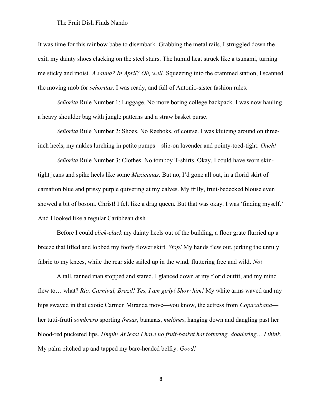It was time for this rainbow babe to disembark. Grabbing the metal rails, I struggled down the exit, my dainty shoes clacking on the steel stairs. The humid heat struck like a tsunami, turning me sticky and moist. A sauna? In April? Oh, well. Squeezing into the crammed station, I scanned the moving mob for señoritas. I was ready, and full of Antonio-sister fashion rules.

Señorita Rule Number 1: Luggage. No more boring college backpack. I was now hauling a heavy shoulder bag with jungle patterns and a straw basket purse.

Señorita Rule Number 2: Shoes. No Reeboks, of course. I was klutzing around on threeinch heels, my ankles lurching in petite pumps—slip-on lavender and pointy-toed-tight. Ouch!

Señorita Rule Number 3: Clothes. No tomboy T-shirts. Okay, I could have worn skintight jeans and spike heels like some Mexicanas. But no, I'd gone all out, in a florid skirt of carnation blue and prissy purple quivering at my calves. My frilly, fruit-bedecked blouse even showed a bit of bosom. Christ! I felt like a drag queen. But that was okay. I was 'finding myself.' And I looked like a regular Caribbean dish.

Before I could *click-clack* my dainty heels out of the building, a floor grate flurried up a breeze that lifted and lobbed my foofy flower skirt. Stop! My hands flew out, jerking the unruly fabric to my knees, while the rear side sailed up in the wind, fluttering free and wild. No!

A tall, tanned man stopped and stared. I glanced down at my florid outfit, and my mind flew to... what? Rio, Carnival, Brazil! Yes, I am girly! Show him! My white arms waved and my hips swayed in that exotic Carmen Miranda move—you know, the actress from *Copacabana* her tutti-frutti sombrero sporting fresas, bananas, melónes, hanging down and dangling past her blood-red puckered lips. Hmph! At least I have no fruit-basket hat tottering, doddering... I think. My palm pitched up and tapped my bare-headed belfry. Good!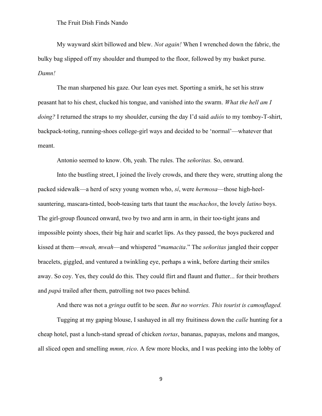My wayward skirt billowed and blew. Not again! When I wrenched down the fabric, the bulky bag slipped off my shoulder and thumped to the floor, followed by my basket purse. Damn!

The man sharpened his gaze. Our lean eyes met. Sporting a smirk, he set his straw peasant hat to his chest, clucked his tongue, and vanished into the swarm. What the hell am I doing? I returned the straps to my shoulder, cursing the day I'd said *adiós* to my tomboy-T-shirt, backpack-toting, running-shoes college-girl ways and decided to be 'normal'—whatever that meant.

Antonio seemed to know. Oh, yeah. The rules. The señoritas. So, onward.

Into the bustling street, I joined the lively crowds, and there they were, strutting along the packed sidewalk—a herd of sexy young women who, sí, were hermosa—those high-heelsauntering, mascara-tinted, boob-teasing tarts that taunt the *muchachos*, the lovely *latino* boys. The girl-group flounced onward, two by two and arm in arm, in their too-tight jeans and impossible pointy shoes, their big hair and scarlet lips. As they passed, the boys puckered and kissed at them—mwah, mwah—and whispered "mamacita." The señoritas jangled their copper bracelets, giggled, and ventured a twinkling eye, perhaps a wink, before darting their smiles away. So coy. Yes, they could do this. They could flirt and flaunt and flutter... for their brothers and *papá* trailed after them, patrolling not two paces behind.

And there was not a gringa outfit to be seen. But no worries. This tourist is camouflaged.

Tugging at my gaping blouse, I sashayed in all my fruitiness down the calle hunting for a cheap hotel, past a lunch-stand spread of chicken tortas, bananas, papayas, melons and mangos, all sliced open and smelling mmm, rico. A few more blocks, and I was peeking into the lobby of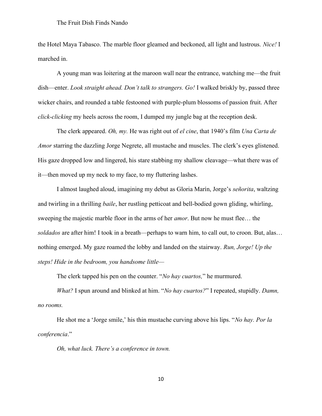the Hotel Maya Tabasco. The marble floor gleamed and beckoned, all light and lustrous. Nice! I marched in.

A young man was loitering at the maroon wall near the entrance, watching me—the fruit dish—enter. Look straight ahead. Don't talk to strangers. Go! I walked briskly by, passed three wicker chairs, and rounded a table festooned with purple-plum blossoms of passion fruit. After click-clicking my heels across the room, I dumped my jungle bag at the reception desk.

The clerk appeared. Oh, my. He was right out of el cine, that 1940's film Una Carta de Amor starring the dazzling Jorge Negrete, all mustache and muscles. The clerk's eyes glistened. His gaze dropped low and lingered, his stare stabbing my shallow cleavage—what there was of it—then moved up my neck to my face, to my fluttering lashes.

I almost laughed aloud, imagining my debut as Gloria Marín, Jorge's señorita, waltzing and twirling in a thrilling baile, her rustling petticoat and bell-bodied gown gliding, whirling, sweeping the majestic marble floor in the arms of her amor. But now he must flee… the soldados are after him! I took in a breath—perhaps to warn him, to call out, to croon. But, alas... nothing emerged. My gaze roamed the lobby and landed on the stairway. Run, Jorge! Up the steps! Hide in the bedroom, you handsome little—

The clerk tapped his pen on the counter. "No hay cuartos," he murmured.

What? I spun around and blinked at him. "No hay cuartos?" I repeated, stupidly. Damn, no rooms.

He shot me a 'Jorge smile,' his thin mustache curving above his lips. "No hay. Por la conferencia."

Oh, what luck. There's a conference in town.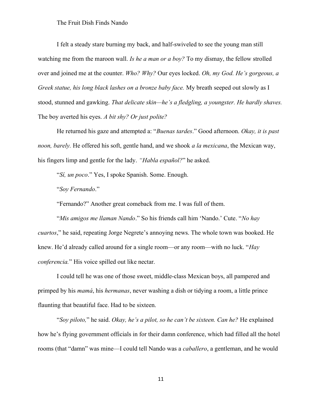I felt a steady stare burning my back, and half-swiveled to see the young man still watching me from the maroon wall. Is he a man or a boy? To my dismay, the fellow strolled over and joined me at the counter. Who? Why? Our eyes locked. Oh, my God. He's gorgeous, a Greek statue, his long black lashes on a bronze baby face. My breath seeped out slowly as I stood, stunned and gawking. That delicate skin—he's a fledgling, a youngster. He hardly shaves. The boy averted his eyes. A bit shy? Or just polite?

He returned his gaze and attempted a: "Buenas tardes." Good afternoon. Okay, it is past noon, barely. He offered his soft, gentle hand, and we shook a la mexicana, the Mexican way, his fingers limp and gentle for the lady. "Habla español?" he asked.

"Sí, un poco." Yes, I spoke Spanish. Some. Enough.

"Soy Fernando."

"Fernando?" Another great comeback from me. I was full of them.

"Mis amigos me llaman Nando." So his friends call him 'Nando.' Cute. "No hay cuartos," he said, repeating Jorge Negrete's annoying news. The whole town was booked. He knew. He'd already called around for a single room—or any room—with no luck. "Hay conferencia." His voice spilled out like nectar.

I could tell he was one of those sweet, middle-class Mexican boys, all pampered and primped by his *mamá*, his *hermanas*, never washing a dish or tidying a room, a little prince flaunting that beautiful face. Had to be sixteen.

"Soy piloto," he said. Okay, he's a pilot, so he can't be sixteen. Can he? He explained how he's flying government officials in for their damn conference, which had filled all the hotel rooms (that "damn" was mine—I could tell Nando was a *caballero*, a gentleman, and he would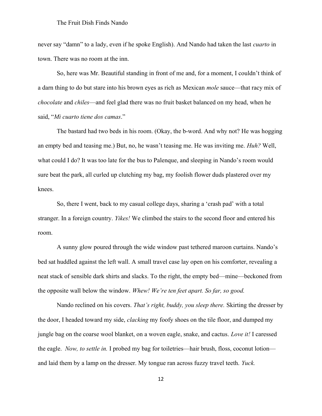never say "damn" to a lady, even if he spoke English). And Nando had taken the last *cuarto* in town. There was no room at the inn.

So, here was Mr. Beautiful standing in front of me and, for a moment, I couldn't think of a darn thing to do but stare into his brown eyes as rich as Mexican mole sauce—that racy mix of chocolate and chiles—and feel glad there was no fruit basket balanced on my head, when he said, "Mi cuarto tiene dos camas."

The bastard had two beds in his room. (Okay, the b-word. And why not? He was hogging an empty bed and teasing me.) But, no, he wasn't teasing me. He was inviting me. Huh? Well, what could I do? It was too late for the bus to Palenque, and sleeping in Nando's room would sure beat the park, all curled up clutching my bag, my foolish flower duds plastered over my knees.

So, there I went, back to my casual college days, sharing a 'crash pad' with a total stranger. In a foreign country. *Yikes!* We climbed the stairs to the second floor and entered his room.

A sunny glow poured through the wide window past tethered maroon curtains. Nando's bed sat huddled against the left wall. A small travel case lay open on his comforter, revealing a neat stack of sensible dark shirts and slacks. To the right, the empty bed—mine—beckoned from the opposite wall below the window. Whew! We're ten feet apart. So far, so good.

Nando reclined on his covers. That's right, buddy, you sleep there. Skirting the dresser by the door, I headed toward my side, clacking my foofy shoes on the tile floor, and dumped my jungle bag on the coarse wool blanket, on a woven eagle, snake, and cactus. Love it! I caressed the eagle. Now, to settle in. I probed my bag for toiletries—hair brush, floss, coconut lotion and laid them by a lamp on the dresser. My tongue ran across fuzzy travel teeth. Yuck.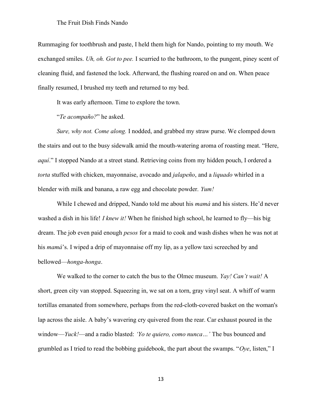Rummaging for toothbrush and paste, I held them high for Nando, pointing to my mouth. We exchanged smiles. Uh, oh. Got to pee. I scurried to the bathroom, to the pungent, piney scent of cleaning fluid, and fastened the lock. Afterward, the flushing roared on and on. When peace finally resumed, I brushed my teeth and returned to my bed.

It was early afternoon. Time to explore the town.

"Te acompaño?" he asked.

Sure, why not. Come along. I nodded, and grabbed my straw purse. We clomped down the stairs and out to the busy sidewalk amid the mouth-watering aroma of roasting meat. "Here, aquí." I stopped Nando at a street stand. Retrieving coins from my hidden pouch, I ordered a torta stuffed with chicken, mayonnaise, avocado and *jalapeño*, and a *liquado* whirled in a blender with milk and banana, a raw egg and chocolate powder. Yum!

While I chewed and dripped, Nando told me about his *mamá* and his sisters. He'd never washed a dish in his life! *I knew it!* When he finished high school, he learned to fly—his big dream. The job even paid enough *pesos* for a maid to cook and wash dishes when he was not at his *mamá*'s. I wiped a drip of mayonnaise off my lip, as a yellow taxi screeched by and bellowed—honga-honga.

We walked to the corner to catch the bus to the Olmec museum. Yay! Can't wait! A short, green city van stopped. Squeezing in, we sat on a torn, gray vinyl seat. A whiff of warm tortillas emanated from somewhere, perhaps from the red-cloth-covered basket on the woman's lap across the aisle. A baby's wavering cry quivered from the rear. Car exhaust poured in the window—*Yuck!*—and a radio blasted: '*Yo te quiero, como nunca*...' The bus bounced and grumbled as I tried to read the bobbing guidebook, the part about the swamps. "Oye, listen," I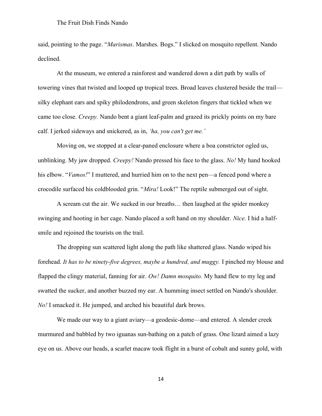said, pointing to the page. "Marismas. Marshes. Bogs." I slicked on mosquito repellent. Nando declined.

At the museum, we entered a rainforest and wandered down a dirt path by walls of towering vines that twisted and looped up tropical trees. Broad leaves clustered beside the trail silky elephant ears and spiky philodendrons, and green skeleton fingers that tickled when we came too close. Creepy. Nando bent a giant leaf-palm and grazed its prickly points on my bare calf. I jerked sideways and snickered, as in, 'ha, you can't get me.'

Moving on, we stopped at a clear-paned enclosure where a boa constrictor ogled us, unblinking. My jaw dropped. *Creepy!* Nando pressed his face to the glass. No! My hand hooked his elbow. "Vamos!" I muttered, and hurried him on to the next pen—a fenced pond where a crocodile surfaced his coldblooded grin. "Mira! Look!" The reptile submerged out of sight.

A scream cut the air. We sucked in our breaths… then laughed at the spider monkey swinging and hooting in her cage. Nando placed a soft hand on my shoulder. *Nice*. I hid a halfsmile and rejoined the tourists on the trail.

The dropping sun scattered light along the path like shattered glass. Nando wiped his forehead. It has to be ninety-five degrees, maybe a hundred, and muggy. I pinched my blouse and flapped the clingy material, fanning for air. Ow! Damn mosquito. My hand flew to my leg and swatted the sucker, and another buzzed my ear. A humming insect settled on Nando's shoulder. No! I smacked it. He jumped, and arched his beautiful dark brows.

We made our way to a giant aviary—a geodesic-dome—and entered. A slender creek murmured and babbled by two iguanas sun-bathing on a patch of grass. One lizard aimed a lazy eye on us. Above our heads, a scarlet macaw took flight in a burst of cobalt and sunny gold, with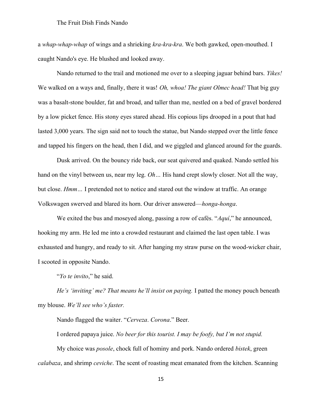a whap-whap-whap of wings and a shrieking kra-kra-kra. We both gawked, open-mouthed. I caught Nando's eye. He blushed and looked away.

Nando returned to the trail and motioned me over to a sleeping jaguar behind bars. Yikes! We walked on a ways and, finally, there it was! *Oh, whoa! The giant Olmec head!* That big guy was a basalt-stone boulder, fat and broad, and taller than me, nestled on a bed of gravel bordered by a low picket fence. His stony eyes stared ahead. His copious lips drooped in a pout that had lasted 3,000 years. The sign said not to touch the statue, but Nando stepped over the little fence and tapped his fingers on the head, then I did, and we giggled and glanced around for the guards.

Dusk arrived. On the bouncy ride back, our seat quivered and quaked. Nando settled his hand on the vinyl between us, near my leg. *Oh*... His hand crept slowly closer. Not all the way, but close. Hmm... I pretended not to notice and stared out the window at traffic. An orange Volkswagen swerved and blared its horn. Our driver answered—honga-honga.

We exited the bus and moseyed along, passing a row of cafés. "Aquí," he announced, hooking my arm. He led me into a crowded restaurant and claimed the last open table. I was exhausted and hungry, and ready to sit. After hanging my straw purse on the wood-wicker chair, I scooted in opposite Nando.

"Yo te invito," he said.

He's 'inviting' me? That means he'll insist on paying. I patted the money pouch beneath my blouse. We'll see who's faster.

Nando flagged the waiter. "Cerveza. Corona." Beer.

I ordered papaya juice. No beer for this tourist. I may be foofy, but I'm not stupid.

My choice was *posole*, chock full of hominy and pork. Nando ordered bistek, green calabaza, and shrimp ceviche. The scent of roasting meat emanated from the kitchen. Scanning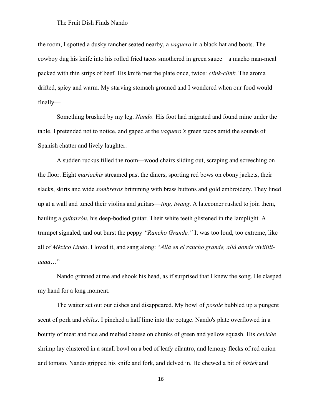the room, I spotted a dusky rancher seated nearby, a *vaquero* in a black hat and boots. The cowboy dug his knife into his rolled fried tacos smothered in green sauce—a macho man-meal packed with thin strips of beef. His knife met the plate once, twice: clink-clink. The aroma drifted, spicy and warm. My starving stomach groaned and I wondered when our food would finally—

Something brushed by my leg. *Nando*. His foot had migrated and found mine under the table. I pretended not to notice, and gaped at the vaquero's green tacos amid the sounds of Spanish chatter and lively laughter.

A sudden ruckus filled the room—wood chairs sliding out, scraping and screeching on the floor. Eight mariachis streamed past the diners, sporting red bows on ebony jackets, their slacks, skirts and wide sombreros brimming with brass buttons and gold embroidery. They lined up at a wall and tuned their violins and guitars—*ting, twang.* A latecomer rushed to join them, hauling a *guitarrón*, his deep-bodied guitar. Their white teeth glistened in the lamplight. A trumpet signaled, and out burst the peppy "Rancho Grande." It was too loud, too extreme, like all of México Lindo. I loved it, and sang along: "Allá en el rancho grande, allá donde viviiiiiiaaaa…"

Nando grinned at me and shook his head, as if surprised that I knew the song. He clasped my hand for a long moment.

The waiter set out our dishes and disappeared. My bowl of *posole* bubbled up a pungent scent of pork and chiles. I pinched a half lime into the potage. Nando's plate overflowed in a bounty of meat and rice and melted cheese on chunks of green and yellow squash. His *ceviche* shrimp lay clustered in a small bowl on a bed of leafy cilantro, and lemony flecks of red onion and tomato. Nando gripped his knife and fork, and delved in. He chewed a bit of bistek and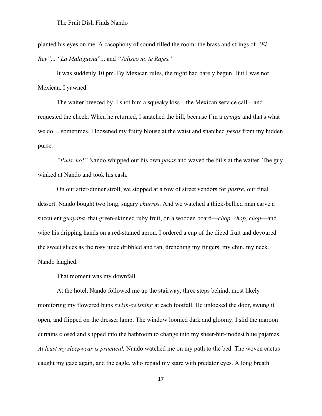planted his eyes on me. A cacophony of sound filled the room: the brass and strings of "El Rey"... "La Malagueña"... and "Jalisco no te Rajes."

It was suddenly 10 pm. By Mexican rules, the night had barely begun. But I was not Mexican. I yawned.

The waiter breezed by. I shot him a squeaky kiss—the Mexican service call—and requested the check. When he returned, I snatched the bill, because I'm a gringa and that's what we do… sometimes. I loosened my fruity blouse at the waist and snatched pesos from my hidden purse.

"Pues, no!" Nando whipped out his own pesos and waved the bills at the waiter. The guy winked at Nando and took his cash.

On our after-dinner stroll, we stopped at a row of street vendors for postre, our final dessert. Nando bought two long, sugary *churros*. And we watched a thick-bellied man carve a succulent guayaba, that green-skinned ruby fruit, on a wooden board—chop, chop, chop—and wipe his dripping hands on a red-stained apron. I ordered a cup of the diced fruit and devoured the sweet slices as the rosy juice dribbled and ran, drenching my fingers, my chin, my neck. Nando laughed.

That moment was my downfall.

At the hotel, Nando followed me up the stairway, three steps behind, most likely monitoring my flowered buns swish-swishing at each footfall. He unlocked the door, swung it open, and flipped on the dresser lamp. The window loomed dark and gloomy. I slid the maroon curtains closed and slipped into the bathroom to change into my sheer-but-modest blue pajamas. At least my sleepwear is practical. Nando watched me on my path to the bed. The woven cactus caught my gaze again, and the eagle, who repaid my stare with predator eyes. A long breath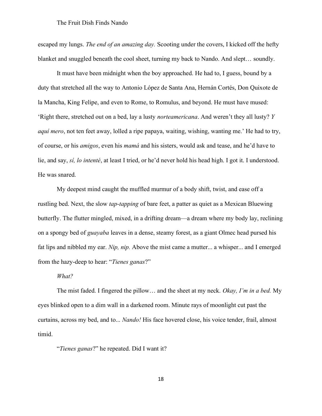escaped my lungs. The end of an amazing day. Scooting under the covers, I kicked off the hefty blanket and snuggled beneath the cool sheet, turning my back to Nando. And slept… soundly.

It must have been midnight when the boy approached. He had to, I guess, bound by a duty that stretched all the way to Antonio López de Santa Ana, Hernán Cortés, Don Quixote de la Mancha, King Felipe, and even to Rome, to Romulus, and beyond. He must have mused: 'Right there, stretched out on a bed, lay a lusty norteamericana. And weren't they all lusty? Y aquí mero, not ten feet away, lolled a ripe papaya, waiting, wishing, wanting me.' He had to try, of course, or his amigos, even his mamá and his sisters, would ask and tease, and he'd have to lie, and say, sí, lo intenté, at least I tried, or he'd never hold his head high. I got it. I understood. He was snared.

My deepest mind caught the muffled murmur of a body shift, twist, and ease off a rustling bed. Next, the slow *tap-tapping* of bare feet, a patter as quiet as a Mexican Bluewing butterfly. The flutter mingled, mixed, in a drifting dream—a dream where my body lay, reclining on a spongy bed of guayaba leaves in a dense, steamy forest, as a giant Olmec head pursed his fat lips and nibbled my ear. Nip, nip. Above the mist came a mutter... a whisper... and I emerged from the hazy-deep to hear: "Tienes ganas?"

What?

The mist faded. I fingered the pillow... and the sheet at my neck. *Okay*, I'm in a bed. My eyes blinked open to a dim wall in a darkened room. Minute rays of moonlight cut past the curtains, across my bed, and to... *Nando!* His face hovered close, his voice tender, frail, almost timid.

"Tienes ganas?" he repeated. Did I want it?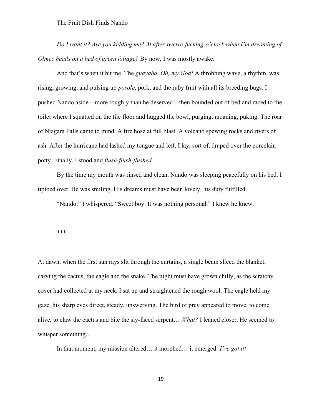Do I want it? Are you kidding me? At after-twelve-fucking-o'clock when I'm dreaming of Olmec heads on a bed of green foliage? By now, I was mostly awake.

And that's when it hit me. The *guayaba. Oh, my God!* A throbbing wave, a rhythm, was rising, growing, and pulsing up *posole*, pork, and the ruby fruit with all its breeding bugs. I pushed Nando aside—more roughly than he deserved—then bounded out of bed and raced to the toilet where I squatted on the tile floor and hugged the bowl, purging, moaning, puking. The roar of Niagara Falls came to mind. A fire hose at full blast. A volcano spewing rocks and rivers of ash. After the hurricane had lashed my tongue and left, I lay, sort of, draped over the porcelain potty. Finally, I stood and flush-flush-flushed.

By the time my mouth was rinsed and clean, Nando was sleeping peacefully on his bed. I tiptoed over. He was smiling. His dreams must have been lovely, his duty fulfilled.

"Nando," I whispered. "Sweet boy. It was nothing personal." I knew he knew.

\*\*\*

At dawn, when the first sun rays slit through the curtains, a single beam sliced the blanket, carving the cactus, the eagle and the snake. The night must have grown chilly, as the scratchy cover had collected at my neck. I sat up and straightened the rough wool. The eagle held my gaze, his sharp eyes direct, steady, unswerving. The bird of prey appeared to move, to come alive, to claw the cactus and bite the sly-faced serpent… What? I leaned closer. He seemed to whisper something…

In that moment, my mission altered... it morphed... it emerged. I've got it!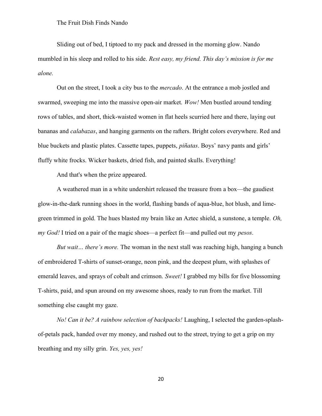Sliding out of bed, I tiptoed to my pack and dressed in the morning glow. Nando mumbled in his sleep and rolled to his side. Rest easy, my friend. This day's mission is for me alone.

Out on the street, I took a city bus to the mercado. At the entrance a mob jostled and swarmed, sweeping me into the massive open-air market. Wow! Men bustled around tending rows of tables, and short, thick-waisted women in flat heels scurried here and there, laying out bananas and *calabazas*, and hanging garments on the rafters. Bright colors everywhere. Red and blue buckets and plastic plates. Cassette tapes, puppets, *piñatas*. Boys' navy pants and girls' fluffy white frocks. Wicker baskets, dried fish, and painted skulls. Everything!

And that's when the prize appeared.

A weathered man in a white undershirt released the treasure from a box—the gaudiest glow-in-the-dark running shoes in the world, flashing bands of aqua-blue, hot blush, and limegreen trimmed in gold. The hues blasted my brain like an Aztec shield, a sunstone, a temple. Oh, my God! I tried on a pair of the magic shoes—a perfect fit—and pulled out my *pesos*.

But wait... there's more. The woman in the next stall was reaching high, hanging a bunch of embroidered T-shirts of sunset-orange, neon pink, and the deepest plum, with splashes of emerald leaves, and sprays of cobalt and crimson. Sweet! I grabbed my bills for five blossoming T-shirts, paid, and spun around on my awesome shoes, ready to run from the market. Till something else caught my gaze.

No! Can it be? A rainbow selection of backpacks! Laughing, I selected the garden-splashof-petals pack, handed over my money, and rushed out to the street, trying to get a grip on my breathing and my silly grin. Yes, yes, yes!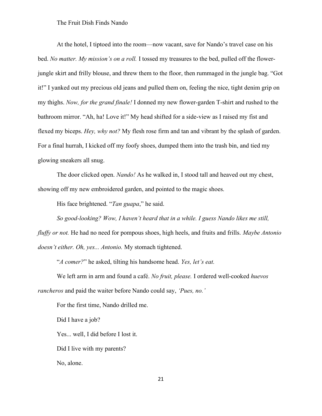At the hotel, I tiptoed into the room—now vacant, save for Nando's travel case on his bed. No matter. My mission's on a roll. I tossed my treasures to the bed, pulled off the flowerjungle skirt and frilly blouse, and threw them to the floor, then rummaged in the jungle bag. "Got it!" I yanked out my precious old jeans and pulled them on, feeling the nice, tight denim grip on my thighs. Now, for the grand finale! I donned my new flower-garden T-shirt and rushed to the bathroom mirror. "Ah, ha! Love it!" My head shifted for a side-view as I raised my fist and flexed my biceps. Hey, why not? My flesh rose firm and tan and vibrant by the splash of garden. For a final hurrah, I kicked off my foofy shoes, dumped them into the trash bin, and tied my glowing sneakers all snug.

The door clicked open. *Nando!* As he walked in, I stood tall and heaved out my chest, showing off my new embroidered garden, and pointed to the magic shoes.

His face brightened. "Tan guapa," he said.

So good-looking? Wow, I haven't heard that in a while. I guess Nando likes me still,

fluffy or not. He had no need for pompous shoes, high heels, and fruits and frills. Maybe Antonio doesn't either. Oh, yes... Antonio. My stomach tightened.

"A comer?" he asked, tilting his handsome head. Yes, let's eat.

We left arm in arm and found a café. No fruit, please. I ordered well-cooked huevos rancheros and paid the waiter before Nando could say, 'Pues, no.'

For the first time, Nando drilled me.

Did I have a job?

Yes... well, I did before I lost it.

Did I live with my parents?

No, alone.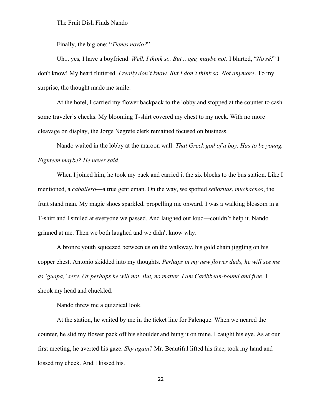Finally, the big one: "Tienes novio?"

Uh... yes, I have a boyfriend. Well, I think so. But... gee, maybe not. I blurted, "No sé!" I don't know! My heart fluttered. I really don't know. But I don't think so. Not anymore. To my surprise, the thought made me smile.

At the hotel, I carried my flower backpack to the lobby and stopped at the counter to cash some traveler's checks. My blooming T-shirt covered my chest to my neck. With no more cleavage on display, the Jorge Negrete clerk remained focused on business.

Nando waited in the lobby at the maroon wall. That Greek god of a boy. Has to be young. Eighteen maybe? He never said.

When I joined him, he took my pack and carried it the six blocks to the bus station. Like I mentioned, a *caballero*—a true gentleman. On the way, we spotted *señoritas*, *muchachos*, the fruit stand man. My magic shoes sparkled, propelling me onward. I was a walking blossom in a T-shirt and I smiled at everyone we passed. And laughed out loud—couldn't help it. Nando grinned at me. Then we both laughed and we didn't know why.

A bronze youth squeezed between us on the walkway, his gold chain jiggling on his copper chest. Antonio skidded into my thoughts. Perhaps in my new flower duds, he will see me as 'guapa,' sexy. Or perhaps he will not. But, no matter. I am Caribbean-bound and free. I shook my head and chuckled.

Nando threw me a quizzical look.

At the station, he waited by me in the ticket line for Palenque. When we neared the counter, he slid my flower pack off his shoulder and hung it on mine. I caught his eye. As at our first meeting, he averted his gaze. Shy again? Mr. Beautiful lifted his face, took my hand and kissed my cheek. And I kissed his.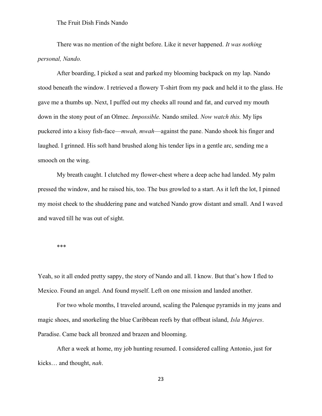There was no mention of the night before. Like it never happened. It was nothing personal, Nando.

After boarding, I picked a seat and parked my blooming backpack on my lap. Nando stood beneath the window. I retrieved a flowery T-shirt from my pack and held it to the glass. He gave me a thumbs up. Next, I puffed out my cheeks all round and fat, and curved my mouth down in the stony pout of an Olmec. *Impossible*. Nando smiled. Now watch this. My lips puckered into a kissy fish-face—mwah, mwah—against the pane. Nando shook his finger and laughed. I grinned. His soft hand brushed along his tender lips in a gentle arc, sending me a smooch on the wing.

My breath caught. I clutched my flower-chest where a deep ache had landed. My palm pressed the window, and he raised his, too. The bus growled to a start. As it left the lot, I pinned my moist cheek to the shuddering pane and watched Nando grow distant and small. And I waved and waved till he was out of sight.

#### \*\*\*

Yeah, so it all ended pretty sappy, the story of Nando and all. I know. But that's how I fled to Mexico. Found an angel. And found myself. Left on one mission and landed another.

For two whole months, I traveled around, scaling the Palenque pyramids in my jeans and magic shoes, and snorkeling the blue Caribbean reefs by that offbeat island, Isla Mujeres. Paradise. Came back all bronzed and brazen and blooming.

After a week at home, my job hunting resumed. I considered calling Antonio, just for kicks… and thought, nah.